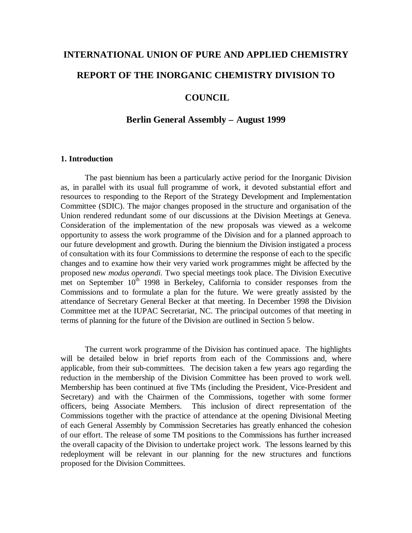# **INTERNATIONAL UNION OF PURE AND APPLIED CHEMISTRY REPORT OF THE INORGANIC CHEMISTRY DIVISION TO**

### **COUNCIL**

#### **Berlin General Assembly – August 1999**

#### **1. Introduction**

The past biennium has been a particularly active period for the Inorganic Division as, in parallel with its usual full programme of work, it devoted substantial effort and resources to responding to the Report of the Strategy Development and Implementation Committee (SDIC). The major changes proposed in the structure and organisation of the Union rendered redundant some of our discussions at the Division Meetings at Geneva. Consideration of the implementation of the new proposals was viewed as a welcome opportunity to assess the work programme of the Division and for a planned approach to our future development and growth. During the biennium the Division instigated a process of consultation with its four Commissions to determine the response of each to the specific changes and to examine how their very varied work programmes might be affected by the proposed new *modus operandi.* Two special meetings took place. The Division Executive met on September  $10<sup>th</sup>$  1998 in Berkeley, California to consider responses from the Commissions and to formulate a plan for the future. We were greatly assisted by the attendance of Secretary General Becker at that meeting. In December 1998 the Division Committee met at the IUPAC Secretariat, NC. The principal outcomes of that meeting in terms of planning for the future of the Division are outlined in Section 5 below.

The current work programme of the Division has continued apace. The highlights will be detailed below in brief reports from each of the Commissions and, where applicable, from their sub-committees. The decision taken a few years ago regarding the reduction in the membership of the Division Committee has been proved to work well. Membership has been continued at five TMs (including the President, Vice-President and Secretary) and with the Chairmen of the Commissions, together with some former officers, being Associate Members. This inclusion of direct representation of the Commissions together with the practice of attendance at the opening Divisional Meeting of each General Assembly by Commission Secretaries has greatly enhanced the cohesion of our effort. The release of some TM positions to the Commissions has further increased the overall capacity of the Division to undertake project work. The lessons learned by this redeployment will be relevant in our planning for the new structures and functions proposed for the Division Committees.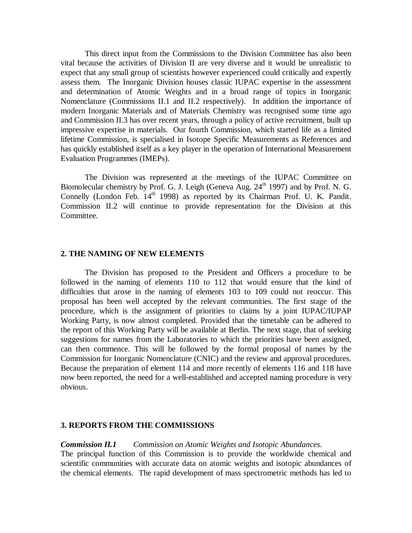This direct input from the Commissions to the Division Committee has also been vital because the activities of Division II are very diverse and it would be unrealistic to expect that any small group of scientists however experienced could critically and expertly assess them. The Inorganic Division houses classic IUPAC expertise in the assessment and determination of Atomic Weights and in a broad range of topics in Inorganic Nomenclature (Commissions II.1 and II.2 respectively). In addition the importance of modern Inorganic Materials and of Materials Chemistry was recognised some time ago and Commission II.3 has over recent years, through a policy of active recruitment, built up impressive expertise in materials. Our fourth Commission, which started life as a limited lifetime Commission, is specialised in Isotope Specific Measurements as References and has quickly established itself as a key player in the operation of International Measurement Evaluation Programmes (IMEPs).

The Division was represented at the meetings of the IUPAC Committee on Biomolecular chemistry by Prof. G. J. Leigh (Geneva Aug. 24<sup>th</sup> 1997) and by Prof. N. G. Connelly (London Feb.  $14<sup>th</sup>$  1998) as reported by its Chairman Prof. U. K. Pandit. Commission II.2 will continue to provide representation for the Division at this Committee.

#### **2. THE NAMING OF NEW ELEMENTS**

The Division has proposed to the President and Officers a procedure to be followed in the naming of elements 110 to 112 that would ensure that the kind of difficulties that arose in the naming of elements 103 to 109 could not reoccur. This proposal has been well accepted by the relevant communities. The first stage of the procedure, which is the assignment of priorities to claims by a joint IUPAC/IUPAP Working Party, is now almost completed. Provided that the timetable can be adhered to the report of this Working Party will be available at Berlin. The next stage, that of seeking suggestions for names from the Laboratories to which the priorities have been assigned, can then commence. This will be followed by the formal proposal of names by the Commission for Inorganic Nomenclature (CNIC) and the review and approval procedures. Because the preparation of element 114 and more recently of elements 116 and 118 have now been reported, the need for a well-established and accepted naming procedure is very obvious.

## **3. REPORTS FROM THE COMMISSIONS**

#### *Commission II.1 Commission on Atomic Weights and Isotopic Abundances.*

The principal function of this Commission is to provide the worldwide chemical and scientific communities with accurate data on atomic weights and isotopic abundances of the chemical elements. The rapid development of mass spectrometric methods has led to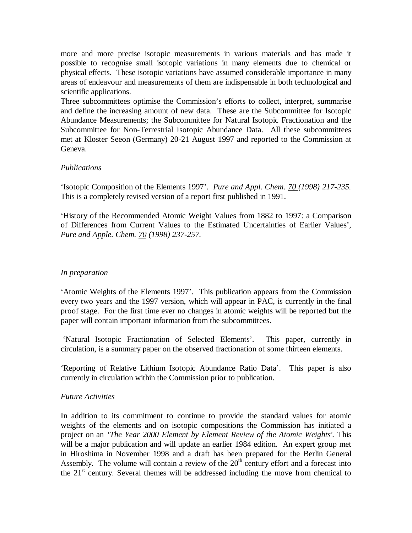more and more precise isotopic measurements in various materials and has made it possible to recognise small isotopic variations in many elements due to chemical or physical effects. These isotopic variations have assumed considerable importance in many areas of endeavour and measurements of them are indispensable in both technological and scientific applications.

Three subcommittees optimise the Commission's efforts to collect, interpret, summarise and define the increasing amount of new data. These are the Subcommittee for Isotopic Abundance Measurements; the Subcommittee for Natural Isotopic Fractionation and the Subcommittee for Non-Terrestrial Isotopic Abundance Data. All these subcommittees met at Kloster Seeon (Germany) 20-21 August 1997 and reported to the Commission at Geneva.

# *Publications*

'Isotopic Composition of the Elements 1997'. *Pure and Appl. Chem. 70 (1998) 217-235.* This is a completely revised version of a report first published in 1991.

'History of the Recommended Atomic Weight Values from 1882 to 1997: a Comparison of Differences from Current Values to the Estimated Uncertainties of Earlier Values', *Pure and Apple. Chem. 70 (1998) 237-257.*

# *In preparation*

'Atomic Weights of the Elements 1997'. This publication appears from the Commission every two years and the 1997 version, which will appear in PAC, is currently in the final proof stage. For the first time ever no changes in atomic weights will be reported but the paper will contain important information from the subcommittees.

 'Natural Isotopic Fractionation of Selected Elements'. This paper, currently in circulation, is a summary paper on the observed fractionation of some thirteen elements.

'Reporting of Relative Lithium Isotopic Abundance Ratio Data'. This paper is also currently in circulation within the Commission prior to publication.

# *Future Activities*

In addition to its commitment to continue to provide the standard values for atomic weights of the elements and on isotopic compositions the Commission has initiated a project on an *'The Year 2000 Element by Element Review of the Atomic Weights'.* This will be a major publication and will update an earlier 1984 edition. An expert group met in Hiroshima in November 1998 and a draft has been prepared for the Berlin General Assembly. The volume will contain a review of the  $20<sup>th</sup>$  century effort and a forecast into the  $21<sup>st</sup>$  century. Several themes will be addressed including the move from chemical to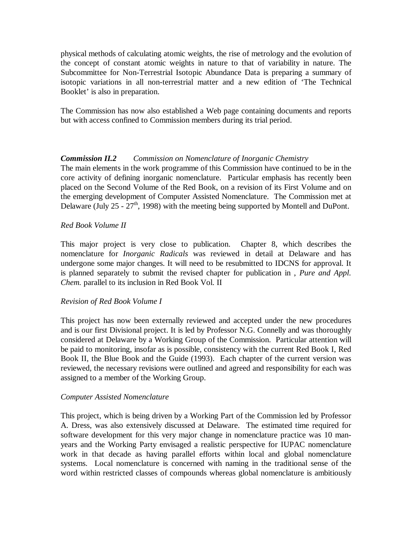physical methods of calculating atomic weights, the rise of metrology and the evolution of the concept of constant atomic weights in nature to that of variability in nature. The Subcommittee for Non-Terrestrial Isotopic Abundance Data is preparing a summary of isotopic variations in all non-terrestrial matter and a new edition of 'The Technical Booklet' is also in preparation.

The Commission has now also established a Web page containing documents and reports but with access confined to Commission members during its trial period.

# *Commission II.2 Commission on Nomenclature of Inorganic Chemistry*

The main elements in the work programme of this Commission have continued to be in the core activity of defining inorganic nomenclature. Particular emphasis has recently been placed on the Second Volume of the Red Book, on a revision of its First Volume and on the emerging development of Computer Assisted Nomenclature. The Commission met at Delaware (July 25 -  $27<sup>th</sup>$ , 1998) with the meeting being supported by Montell and DuPont.

#### *Red Book Volume II*

This major project is very close to publication. Chapter 8, which describes the nomenclature for *Inorganic Radicals* was reviewed in detail at Delaware and has undergone some major changes. It will need to be resubmitted to IDCNS for approval. It is planned separately to submit the revised chapter for publication in , *Pure and Appl. Chem.* parallel to its inclusion in Red Book Vol. II

# *Revision of Red Book Volume I*

This project has now been externally reviewed and accepted under the new procedures and is our first Divisional project. It is led by Professor N.G. Connelly and was thoroughly considered at Delaware by a Working Group of the Commission. Particular attention will be paid to monitoring, insofar as is possible, consistency with the current Red Book I, Red Book II, the Blue Book and the Guide (1993). Each chapter of the current version was reviewed, the necessary revisions were outlined and agreed and responsibility for each was assigned to a member of the Working Group.

#### *Computer Assisted Nomenclature*

This project, which is being driven by a Working Part of the Commission led by Professor A. Dress, was also extensively discussed at Delaware. The estimated time required for software development for this very major change in nomenclature practice was 10 manyears and the Working Party envisaged a realistic perspective for IUPAC nomenclature work in that decade as having parallel efforts within local and global nomenclature systems. Local nomenclature is concerned with naming in the traditional sense of the word within restricted classes of compounds whereas global nomenclature is ambitiously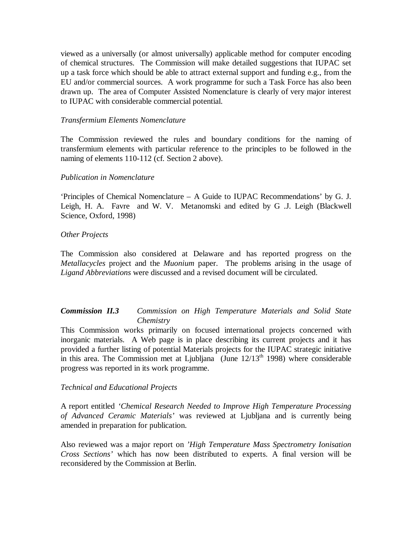viewed as a universally (or almost universally) applicable method for computer encoding of chemical structures. The Commission will make detailed suggestions that IUPAC set up a task force which should be able to attract external support and funding e.g., from the EU and/or commercial sources. A work programme for such a Task Force has also been drawn up. The area of Computer Assisted Nomenclature is clearly of very major interest to IUPAC with considerable commercial potential.

#### *Transfermium Elements Nomenclature*

The Commission reviewed the rules and boundary conditions for the naming of transfermium elements with particular reference to the principles to be followed in the naming of elements 110-112 (cf. Section 2 above).

#### *Publication in Nomenclature*

'Principles of Chemical Nomenclature – A Guide to IUPAC Recommendations' by G. J. Leigh, H. A. Favre and W. V. Metanomski and edited by G .J. Leigh (Blackwell Science, Oxford, 1998)

#### *Other Projects*

The Commission also considered at Delaware and has reported progress on the *Metallacycles* project and the *Muonium* paper. The problems arising in the usage of *Ligand Abbreviations* were discussed and a revised document will be circulated.

#### *Commission II.3 Commission on High Temperature Materials and Solid State Chemistry*

This Commission works primarily on focused international projects concerned with inorganic materials. A Web page is in place describing its current projects and it has provided a further listing of potential Materials projects for the IUPAC strategic initiative in this area. The Commission met at Ljubljana (June  $12/13<sup>th</sup> 1998$ ) where considerable progress was reported in its work programme.

#### *Technical and Educational Projects*

A report entitled *'Chemical Research Needed to Improve High Temperature Processing of Advanced Ceramic Materials'* was reviewed at Ljubljana and is currently being amended in preparation for publication.

Also reviewed was a major report on *'High Temperature Mass Spectrometry Ionisation Cross Sections'* which has now been distributed to experts. A final version will be reconsidered by the Commission at Berlin.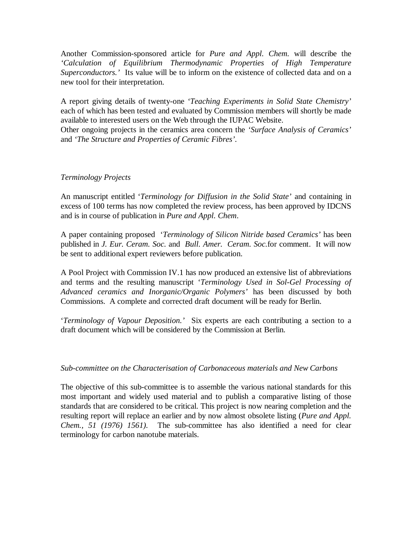Another Commission-sponsored article for *Pure and Appl. Chem.* will describe the *'Calculation of Equilibrium Thermodynamic Properties of High Temperature Superconductors.'* Its value will be to inform on the existence of collected data and on a new tool for their interpretation.

A report giving details of twenty-one *'Teaching Experiments in Solid State Chemistry'* each of which has been tested and evaluated by Commission members will shortly be made available to interested users on the Web through the IUPAC Website.

Other ongoing projects in the ceramics area concern the *'Surface Analysis of Ceramics'* and *'The Structure and Properties of Ceramic Fibres'.*

#### *Terminology Projects*

An manuscript entitled '*Terminology for Diffusion in the Solid State'* and containing in excess of 100 terms has now completed the review process, has been approved by IDCNS and is in course of publication in *Pure and Appl. Chem*.

A paper containing proposed '*Terminology of Silicon Nitride based Ceramics'* has been published in *J. Eur. Ceram. Soc.* and *Bull. Amer. Ceram. Soc.*for comment. It will now be sent to additional expert reviewers before publication.

A Pool Project with Commission IV.1 has now produced an extensive list of abbreviations and terms and the resulting manuscript '*Terminology Used in Sol-Gel Processing of Advanced ceramics and Inorganic/Organic Polymers'* has been discussed by both Commissions. A complete and corrected draft document will be ready for Berlin.

'*Terminology of Vapour Deposition.'* Six experts are each contributing a section to a draft document which will be considered by the Commission at Berlin.

# *Sub-committee on the Characterisation of Carbonaceous materials and New Carbons*

The objective of this sub-committee is to assemble the various national standards for this most important and widely used material and to publish a comparative listing of those standards that are considered to be critical. This project is now nearing completion and the resulting report will replace an earlier and by now almost obsolete listing (*Pure and Appl. Chem., 51 (1976) 1561).* The sub-committee has also identified a need for clear terminology for carbon nanotube materials.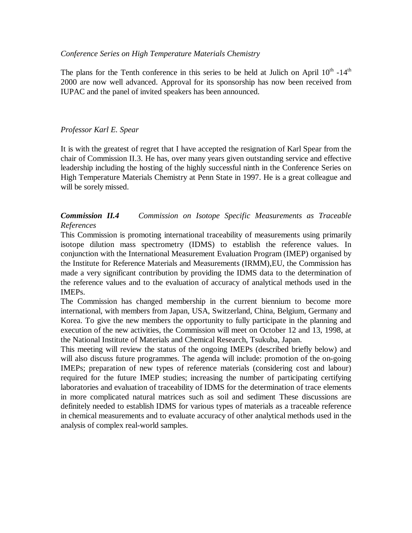### *Conference Series on High Temperature Materials Chemistry*

The plans for the Tenth conference in this series to be held at Julich on April  $10^{th}$  -14<sup>th</sup> 2000 are now well advanced. Approval for its sponsorship has now been received from IUPAC and the panel of invited speakers has been announced.

# *Professor Karl E. Spear*

It is with the greatest of regret that I have accepted the resignation of Karl Spear from the chair of Commission II.3. He has, over many years given outstanding service and effective leadership including the hosting of the highly successful ninth in the Conference Series on High Temperature Materials Chemistry at Penn State in 1997. He is a great colleague and will be sorely missed.

# *Commission II.4 Commission on Isotope Specific Measurements as Traceable References*

This Commission is promoting international traceability of measurements using primarily isotope dilution mass spectrometry (IDMS) to establish the reference values. In conjunction with the International Measurement Evaluation Program (IMEP) organised by the Institute for Reference Materials and Measurements (IRMM),EU, the Commission has made a very significant contribution by providing the IDMS data to the determination of the reference values and to the evaluation of accuracy of analytical methods used in the IMEPs.

The Commission has changed membership in the current biennium to become more international, with members from Japan, USA, Switzerland, China, Belgium, Germany and Korea. To give the new members the opportunity to fully participate in the planning and execution of the new activities, the Commission will meet on October 12 and 13, 1998, at the National Institute of Materials and Chemical Research, Tsukuba, Japan.

This meeting will review the status of the ongoing IMEPs (described briefly below) and will also discuss future programmes. The agenda will include: promotion of the on-going IMEPs; preparation of new types of reference materials (considering cost and labour) required for the future IMEP studies; increasing the number of participating certifying laboratories and evaluation of traceability of IDMS for the determination of trace elements in more complicated natural matrices such as soil and sediment These discussions are definitely needed to establish IDMS for various types of materials as a traceable reference in chemical measurements and to evaluate accuracy of other analytical methods used in the analysis of complex real-world samples.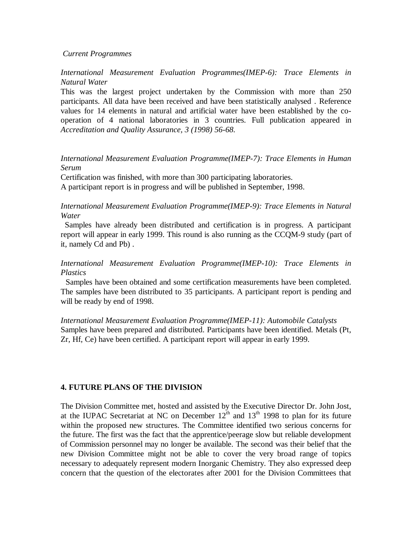#### *Current Programmes*

*International Measurement Evaluation Programmes(IMEP-6): Trace Elements in Natural Water*

This was the largest project undertaken by the Commission with more than 250 participants. All data have been received and have been statistically analysed . Reference values for 14 elements in natural and artificial water have been established by the cooperation of 4 national laboratories in 3 countries. Full publication appeared in *Accreditation and Quality Assurance, 3 (1998) 56-68.*

#### *International Measurement Evaluation Programme(IMEP-7): Trace Elements in Human Serum*

Certification was finished, with more than 300 participating laboratories. A participant report is in progress and will be published in September, 1998.

## *International Measurement Evaluation Programme(IMEP-9): Trace Elements in Natural Water*

 Samples have already been distributed and certification is in progress. A participant report will appear in early 1999. This round is also running as the CCQM-9 study (part of it, namely Cd and Pb) .

# *International Measurement Evaluation Programme(IMEP-10): Trace Elements in Plastics*

 Samples have been obtained and some certification measurements have been completed. The samples have been distributed to 35 participants. A participant report is pending and will be ready by end of 1998.

*International Measurement Evaluation Programme(IMEP-11): Automobile Catalysts* Samples have been prepared and distributed. Participants have been identified. Metals (Pt, Zr, Hf, Ce) have been certified. A participant report will appear in early 1999.

# **4. FUTURE PLANS OF THE DIVISION**

The Division Committee met, hosted and assisted by the Executive Director Dr. John Jost, at the IUPAC Secretariat at NC on December  $12<sup>th</sup>$  and  $13<sup>th</sup>$  1998 to plan for its future within the proposed new structures. The Committee identified two serious concerns for the future. The first was the fact that the apprentice/peerage slow but reliable development of Commission personnel may no longer be available. The second was their belief that the new Division Committee might not be able to cover the very broad range of topics necessary to adequately represent modern Inorganic Chemistry. They also expressed deep concern that the question of the electorates after 2001 for the Division Committees that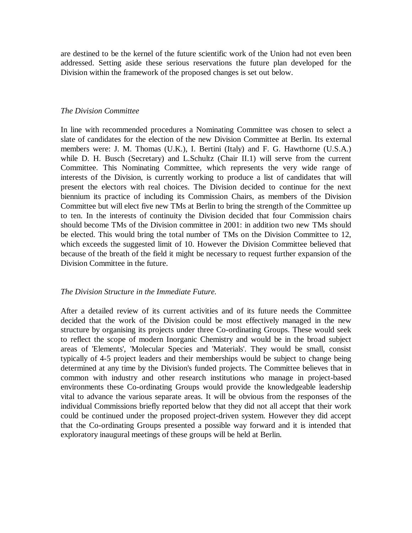are destined to be the kernel of the future scientific work of the Union had not even been addressed. Setting aside these serious reservations the future plan developed for the Division within the framework of the proposed changes is set out below.

#### *The Division Committee*

In line with recommended procedures a Nominating Committee was chosen to select a slate of candidates for the election of the new Division Committee at Berlin. Its external members were: J. M. Thomas (U.K.), I. Bertini (Italy) and F. G. Hawthorne (U.S.A.) while D. H. Busch (Secretary) and L.Schultz (Chair II.1) will serve from the current Committee. This Nominating Committee, which represents the very wide range of interests of the Division, is currently working to produce a list of candidates that will present the electors with real choices. The Division decided to continue for the next biennium its practice of including its Commission Chairs, as members of the Division Committee but will elect five new TMs at Berlin to bring the strength of the Committee up to ten. In the interests of continuity the Division decided that four Commission chairs should become TMs of the Division committee in 2001: in addition two new TMs should be elected. This would bring the total number of TMs on the Division Committee to 12, which exceeds the suggested limit of 10. However the Division Committee believed that because of the breath of the field it might be necessary to request further expansion of the Division Committee in the future.

#### *The Division Structure in the Immediate Future.*

After a detailed review of its current activities and of its future needs the Committee decided that the work of the Division could be most effectively managed in the new structure by organising its projects under three Co-ordinating Groups. These would seek to reflect the scope of modern Inorganic Chemistry and would be in the broad subject areas of 'Elements', 'Molecular Species and 'Materials'. They would be small, consist typically of 4-5 project leaders and their memberships would be subject to change being determined at any time by the Division's funded projects. The Committee believes that in common with industry and other research institutions who manage in project-based environments these Co-ordinating Groups would provide the knowledgeable leadership vital to advance the various separate areas. It will be obvious from the responses of the individual Commissions briefly reported below that they did not all accept that their work could be continued under the proposed project-driven system. However they did accept that the Co-ordinating Groups presented a possible way forward and it is intended that exploratory inaugural meetings of these groups will be held at Berlin.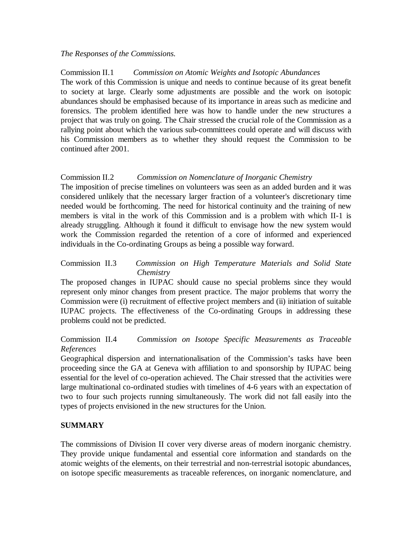#### *The Responses of the Commissions.*

Commission II.1 *Commission on Atomic Weights and Isotopic Abundances* The work of this Commission is unique and needs to continue because of its great benefit to society at large. Clearly some adjustments are possible and the work on isotopic abundances should be emphasised because of its importance in areas such as medicine and forensics. The problem identified here was how to handle under the new structures a project that was truly on going. The Chair stressed the crucial role of the Commission as a rallying point about which the various sub-committees could operate and will discuss with his Commission members as to whether they should request the Commission to be continued after 2001.

#### Commission II.2 *Commission on Nomenclature of Inorganic Chemistry*

The imposition of precise timelines on volunteers was seen as an added burden and it was considered unlikely that the necessary larger fraction of a volunteer's discretionary time needed would be forthcoming. The need for historical continuity and the training of new members is vital in the work of this Commission and is a problem with which II-1 is already struggling. Although it found it difficult to envisage how the new system would work the Commission regarded the retention of a core of informed and experienced individuals in the Co-ordinating Groups as being a possible way forward.

### Commission II.3 *Commission on High Temperature Materials and Solid State Chemistry*

The proposed changes in IUPAC should cause no special problems since they would represent only minor changes from present practice. The major problems that worry the Commission were (i) recruitment of effective project members and (ii) initiation of suitable IUPAC projects. The effectiveness of the Co-ordinating Groups in addressing these problems could not be predicted.

# Commission II.4 *Commission on Isotope Specific Measurements as Traceable References*

Geographical dispersion and internationalisation of the Commission's tasks have been proceeding since the GA at Geneva with affiliation to and sponsorship by IUPAC being essential for the level of co-operation achieved. The Chair stressed that the activities were large multinational co-ordinated studies with timelines of 4-6 years with an expectation of two to four such projects running simultaneously. The work did not fall easily into the types of projects envisioned in the new structures for the Union.

# **SUMMARY**

The commissions of Division II cover very diverse areas of modern inorganic chemistry. They provide unique fundamental and essential core information and standards on the atomic weights of the elements, on their terrestrial and non-terrestrial isotopic abundances, on isotope specific measurements as traceable references, on inorganic nomenclature, and